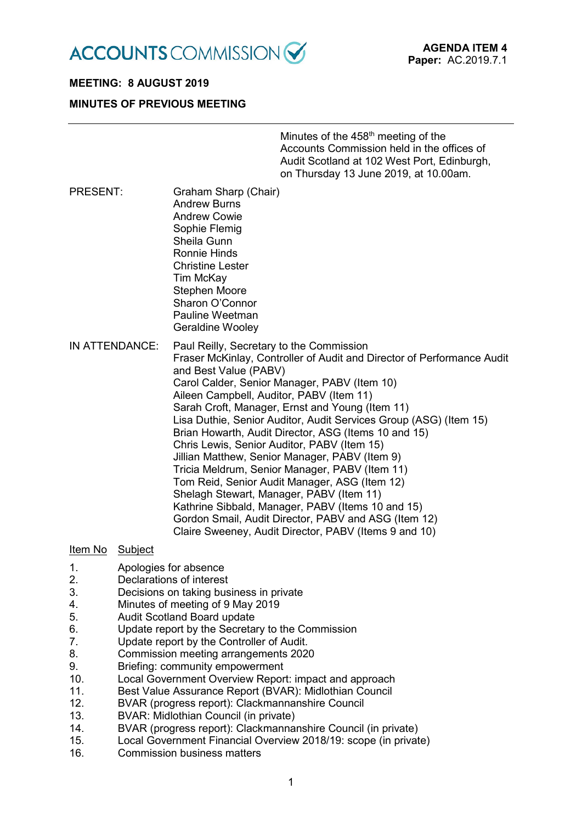

# **MEETING: 8 AUGUST 2019**

# **MINUTES OF PREVIOUS MEETING**

| Minutes of the 458 <sup>th</sup> meeting of the |
|-------------------------------------------------|
| Accounts Commission held in the offices of      |
| Audit Scotland at 102 West Port, Edinburgh,     |
| on Thursday 13 June 2019, at 10.00am.           |

PRESENT: Graham Sharp (Chair) Andrew Burns Andrew Cowie Sophie Flemig Sheila Gunn Ronnie Hinds Christine Lester Tim McKay Stephen Moore Sharon O'Connor Pauline Weetman

Geraldine Wooley

IN ATTENDANCE: Paul Reilly, Secretary to the Commission Fraser McKinlay, Controller of Audit and Director of Performance Audit and Best Value (PABV) Carol Calder, Senior Manager, PABV (Item 10) Aileen Campbell, Auditor, PABV (Item 11) Sarah Croft, Manager, Ernst and Young (Item 11) Lisa Duthie, Senior Auditor, Audit Services Group (ASG) (Item 15) Brian Howarth, Audit Director, ASG (Items 10 and 15) Chris Lewis, Senior Auditor, PABV (Item 15) Jillian Matthew, Senior Manager, PABV (Item 9) Tricia Meldrum, Senior Manager, PABV (Item 11) Tom Reid, Senior Audit Manager, ASG (Item 12) Shelagh Stewart, Manager, PABV (Item 11) Kathrine Sibbald, Manager, PABV (Items 10 and 15) Gordon Smail, Audit Director, PABV and ASG (Item 12) Claire Sweeney, Audit Director, PABV (Items 9 and 10)

## Item No Subject

- 1. Apologies for absence
- 2. Declarations of interest
- 3. Decisions on taking business in private
- 4. Minutes of meeting of 9 May 2019
- 5. Audit Scotland Board update
- 6. Update report by the Secretary to the Commission
- 7. Update report by the Controller of Audit.
- 8. Commission meeting arrangements 2020
- 9. Briefing: community empowerment
- 10. Local Government Overview Report: impact and approach
- 11. Best Value Assurance Report (BVAR): Midlothian Council
- 12. BVAR (progress report): Clackmannanshire Council
- 13. BVAR: Midlothian Council (in private)
- 14. BVAR (progress report): Clackmannanshire Council (in private)
- 15. Local Government Financial Overview 2018/19: scope (in private)
- 16. Commission business matters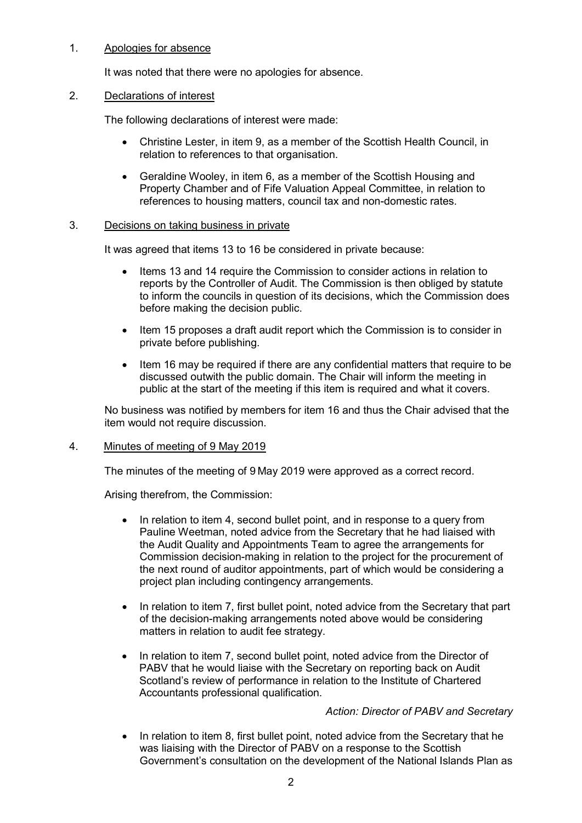# 1. Apologies for absence

It was noted that there were no apologies for absence.

# 2. Declarations of interest

The following declarations of interest were made:

- Christine Lester, in item 9, as a member of the Scottish Health Council, in relation to references to that organisation.
- Geraldine Wooley, in item 6, as a member of the Scottish Housing and Property Chamber and of Fife Valuation Appeal Committee, in relation to references to housing matters, council tax and non-domestic rates.

# 3. Decisions on taking business in private

It was agreed that items 13 to 16 be considered in private because:

- Items 13 and 14 require the Commission to consider actions in relation to reports by the Controller of Audit. The Commission is then obliged by statute to inform the councils in question of its decisions, which the Commission does before making the decision public.
- Item 15 proposes a draft audit report which the Commission is to consider in private before publishing.
- Item 16 may be required if there are any confidential matters that require to be discussed outwith the public domain. The Chair will inform the meeting in public at the start of the meeting if this item is required and what it covers.

No business was notified by members for item 16 and thus the Chair advised that the item would not require discussion.

## 4. Minutes of meeting of 9 May 2019

The minutes of the meeting of 9 May 2019 were approved as a correct record.

Arising therefrom, the Commission:

- In relation to item 4, second bullet point, and in response to a query from Pauline Weetman, noted advice from the Secretary that he had liaised with the Audit Quality and Appointments Team to agree the arrangements for Commission decision-making in relation to the project for the procurement of the next round of auditor appointments, part of which would be considering a project plan including contingency arrangements.
- In relation to item 7, first bullet point, noted advice from the Secretary that part of the decision-making arrangements noted above would be considering matters in relation to audit fee strategy.
- In relation to item 7, second bullet point, noted advice from the Director of PABV that he would liaise with the Secretary on reporting back on Audit Scotland's review of performance in relation to the Institute of Chartered Accountants professional qualification.

*Action: Director of PABV and Secretary*

• In relation to item 8, first bullet point, noted advice from the Secretary that he was liaising with the Director of PABV on a response to the Scottish Government's consultation on the development of the National Islands Plan as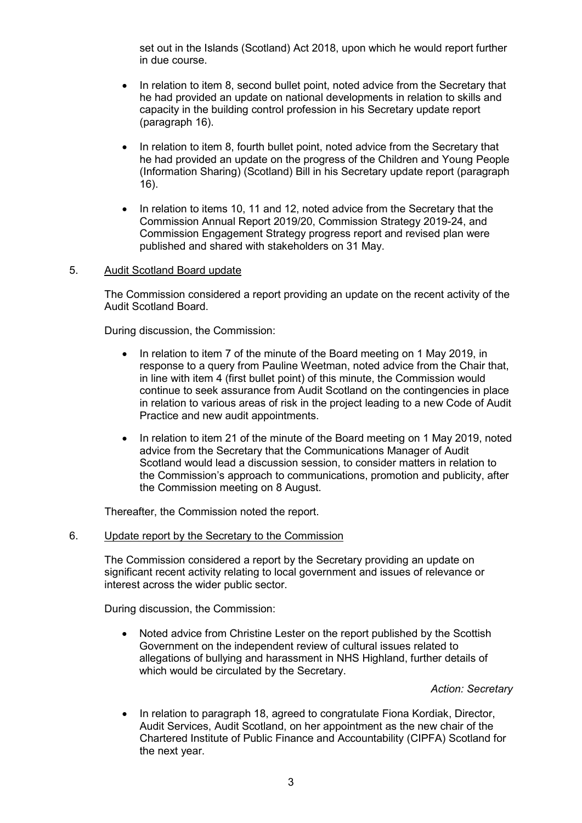set out in the Islands (Scotland) Act 2018, upon which he would report further in due course.

- In relation to item 8, second bullet point, noted advice from the Secretary that he had provided an update on national developments in relation to skills and capacity in the building control profession in his Secretary update report (paragraph 16).
- In relation to item 8, fourth bullet point, noted advice from the Secretary that he had provided an update on the progress of the Children and Young People (Information Sharing) (Scotland) Bill in his Secretary update report (paragraph 16).
- In relation to items 10, 11 and 12, noted advice from the Secretary that the Commission Annual Report 2019/20, Commission Strategy 2019-24, and Commission Engagement Strategy progress report and revised plan were published and shared with stakeholders on 31 May.

## 5. Audit Scotland Board update

The Commission considered a report providing an update on the recent activity of the Audit Scotland Board.

During discussion, the Commission:

- In relation to item 7 of the minute of the Board meeting on 1 May 2019, in response to a query from Pauline Weetman, noted advice from the Chair that, in line with item 4 (first bullet point) of this minute, the Commission would continue to seek assurance from Audit Scotland on the contingencies in place in relation to various areas of risk in the project leading to a new Code of Audit Practice and new audit appointments.
- In relation to item 21 of the minute of the Board meeting on 1 May 2019, noted advice from the Secretary that the Communications Manager of Audit Scotland would lead a discussion session, to consider matters in relation to the Commission's approach to communications, promotion and publicity, after the Commission meeting on 8 August.

Thereafter, the Commission noted the report.

## 6. Update report by the Secretary to the Commission

The Commission considered a report by the Secretary providing an update on significant recent activity relating to local government and issues of relevance or interest across the wider public sector.

During discussion, the Commission:

• Noted advice from Christine Lester on the report published by the Scottish Government on the independent review of cultural issues related to allegations of bullying and harassment in NHS Highland, further details of which would be circulated by the Secretary.

*Action: Secretary*

• In relation to paragraph 18, agreed to congratulate Fiona Kordiak, Director, Audit Services, Audit Scotland, on her appointment as the new chair of the Chartered Institute of Public Finance and Accountability (CIPFA) Scotland for the next year.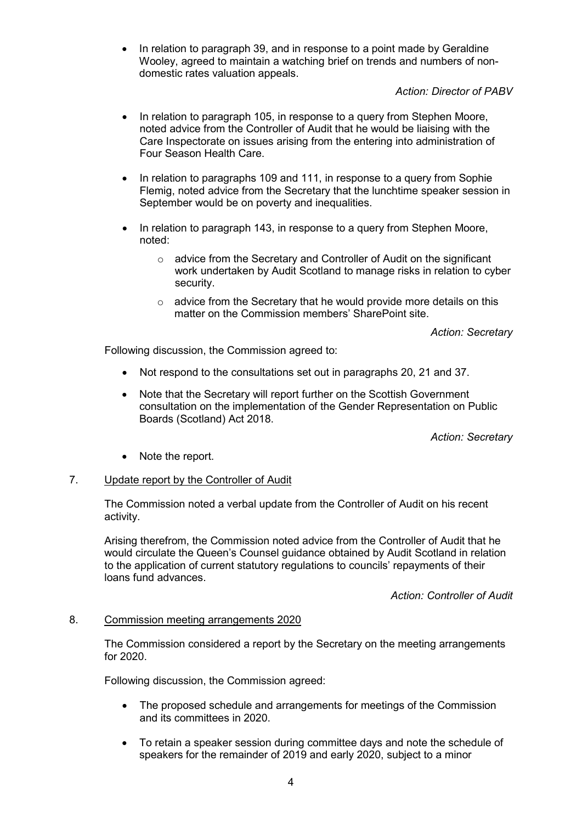• In relation to paragraph 39, and in response to a point made by Geraldine Wooley, agreed to maintain a watching brief on trends and numbers of nondomestic rates valuation appeals.

# *Action: Director of PABV*

- In relation to paragraph 105, in response to a query from Stephen Moore, noted advice from the Controller of Audit that he would be liaising with the Care Inspectorate on issues arising from the entering into administration of Four Season Health Care.
- In relation to paragraphs 109 and 111, in response to a query from Sophie Flemig, noted advice from the Secretary that the lunchtime speaker session in September would be on poverty and inequalities.
- In relation to paragraph 143, in response to a query from Stephen Moore, noted:
	- o advice from the Secretary and Controller of Audit on the significant work undertaken by Audit Scotland to manage risks in relation to cyber security.
	- $\circ$  advice from the Secretary that he would provide more details on this matter on the Commission members' SharePoint site.

*Action: Secretary*

Following discussion, the Commission agreed to:

- Not respond to the consultations set out in paragraphs 20, 21 and 37.
- Note that the Secretary will report further on the Scottish Government consultation on the implementation of the Gender Representation on Public Boards (Scotland) Act 2018.

*Action: Secretary*

• Note the report.

# 7. Update report by the Controller of Audit

The Commission noted a verbal update from the Controller of Audit on his recent activity.

Arising therefrom, the Commission noted advice from the Controller of Audit that he would circulate the Queen's Counsel guidance obtained by Audit Scotland in relation to the application of current statutory regulations to councils' repayments of their loans fund advances.

*Action: Controller of Audit*

# 8. Commission meeting arrangements 2020

The Commission considered a report by the Secretary on the meeting arrangements for 2020.

Following discussion, the Commission agreed:

- The proposed schedule and arrangements for meetings of the Commission and its committees in 2020.
- To retain a speaker session during committee days and note the schedule of speakers for the remainder of 2019 and early 2020, subject to a minor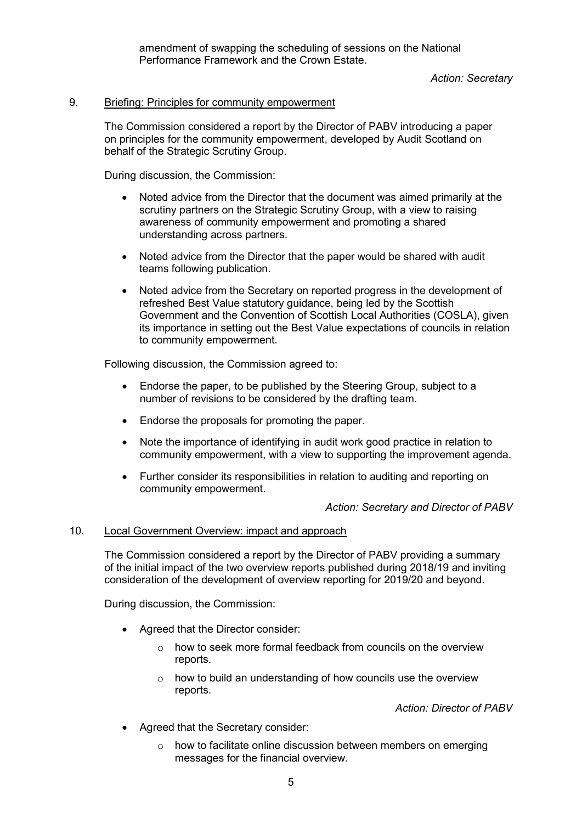amendment of swapping the scheduling of sessions on the National Performance Framework and the Crown Estate.

# *Action: Secretary*

# 9. Briefing: Principles for community empowerment

The Commission considered a report by the Director of PABV introducing a paper on principles for the community empowerment, developed by Audit Scotland on behalf of the Strategic Scrutiny Group.

During discussion, the Commission:

- Noted advice from the Director that the document was aimed primarily at the scrutiny partners on the Strategic Scrutiny Group, with a view to raising awareness of community empowerment and promoting a shared understanding across partners.
- Noted advice from the Director that the paper would be shared with audit teams following publication.
- Noted advice from the Secretary on reported progress in the development of refreshed Best Value statutory guidance, being led by the Scottish Government and the Convention of Scottish Local Authorities (COSLA), given its importance in setting out the Best Value expectations of councils in relation to community empowerment.

Following discussion, the Commission agreed to:

- Endorse the paper, to be published by the Steering Group, subject to a number of revisions to be considered by the drafting team.
- Endorse the proposals for promoting the paper.
- Note the importance of identifying in audit work good practice in relation to community empowerment, with a view to supporting the improvement agenda.
- Further consider its responsibilities in relation to auditing and reporting on community empowerment.

## *Action: Secretary and Director of PABV*

## 10. Local Government Overview: impact and approach

The Commission considered a report by the Director of PABV providing a summary of the initial impact of the two overview reports published during 2018/19 and inviting consideration of the development of overview reporting for 2019/20 and beyond.

During discussion, the Commission:

- Agreed that the Director consider:
	- o how to seek more formal feedback from councils on the overview reports.
	- o how to build an understanding of how councils use the overview reports.

*Action: Director of PABV*

- Agreed that the Secretary consider:
	- o how to facilitate online discussion between members on emerging messages for the financial overview.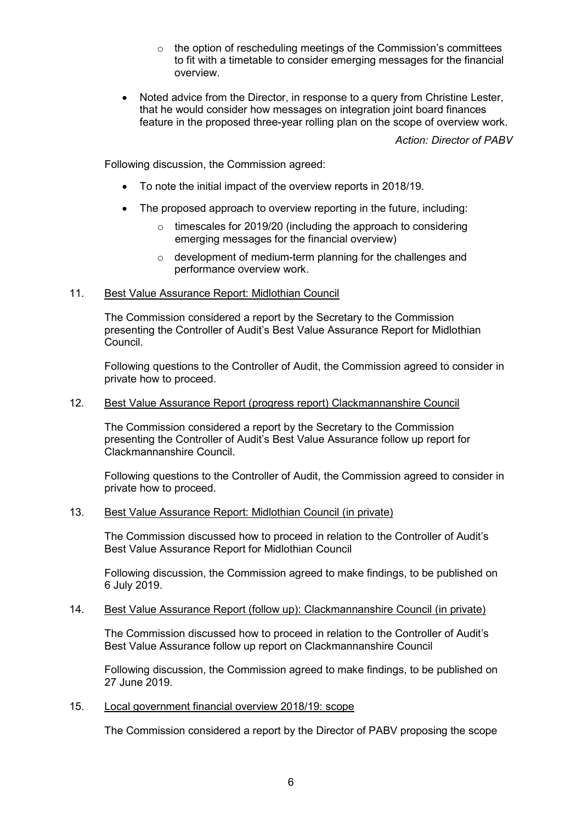- o the option of rescheduling meetings of the Commission's committees to fit with a timetable to consider emerging messages for the financial overview.
- Noted advice from the Director, in response to a query from Christine Lester, that he would consider how messages on integration joint board finances feature in the proposed three-year rolling plan on the scope of overview work.

*Action: Director of PABV*

Following discussion, the Commission agreed:

- To note the initial impact of the overview reports in 2018/19.
- The proposed approach to overview reporting in the future, including:
	- $\circ$  timescales for 2019/20 (including the approach to considering emerging messages for the financial overview)
	- o development of medium-term planning for the challenges and performance overview work.

# 11. Best Value Assurance Report: Midlothian Council

The Commission considered a report by the Secretary to the Commission presenting the Controller of Audit's Best Value Assurance Report for Midlothian Council.

Following questions to the Controller of Audit, the Commission agreed to consider in private how to proceed.

# 12. Best Value Assurance Report (progress report) Clackmannanshire Council

The Commission considered a report by the Secretary to the Commission presenting the Controller of Audit's Best Value Assurance follow up report for Clackmannanshire Council.

Following questions to the Controller of Audit, the Commission agreed to consider in private how to proceed.

# 13. Best Value Assurance Report: Midlothian Council (in private)

The Commission discussed how to proceed in relation to the Controller of Audit's Best Value Assurance Report for Midlothian Council

Following discussion, the Commission agreed to make findings, to be published on 6 July 2019.

## 14. Best Value Assurance Report (follow up): Clackmannanshire Council (in private)

The Commission discussed how to proceed in relation to the Controller of Audit's Best Value Assurance follow up report on Clackmannanshire Council

Following discussion, the Commission agreed to make findings, to be published on 27 June 2019.

# 15. Local government financial overview 2018/19: scope

The Commission considered a report by the Director of PABV proposing the scope